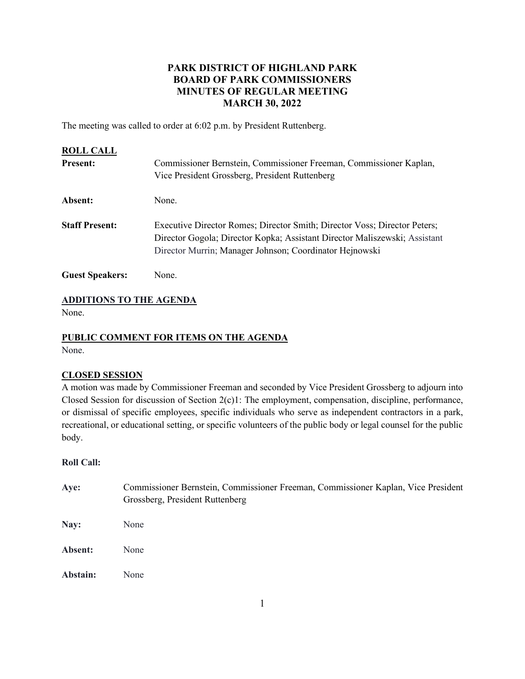# **PARK DISTRICT OF HIGHLAND PARK BOARD OF PARK COMMISSIONERS MINUTES OF REGULAR MEETING MARCH 30, 2022**

The meeting was called to order at 6:02 p.m. by President Ruttenberg.

| <b>ROLL CALL</b>       |                                                                                                                                                                                                                    |
|------------------------|--------------------------------------------------------------------------------------------------------------------------------------------------------------------------------------------------------------------|
| <b>Present:</b>        | Commissioner Bernstein, Commissioner Freeman, Commissioner Kaplan,                                                                                                                                                 |
|                        | Vice President Grossberg, President Ruttenberg                                                                                                                                                                     |
| Absent:                | None.                                                                                                                                                                                                              |
| <b>Staff Present:</b>  | Executive Director Romes; Director Smith; Director Voss; Director Peters;<br>Director Gogola; Director Kopka; Assistant Director Maliszewski; Assistant<br>Director Murrin; Manager Johnson; Coordinator Hejnowski |
| <b>Guest Speakers:</b> | None.                                                                                                                                                                                                              |

# **ADDITIONS TO THE AGENDA**

None.

# **PUBLIC COMMENT FOR ITEMS ON THE AGENDA**

None.

# **CLOSED SESSION**

A motion was made by Commissioner Freeman and seconded by Vice President Grossberg to adjourn into Closed Session for discussion of Section 2(c)1: The employment, compensation, discipline, performance, or dismissal of specific employees, specific individuals who serve as independent contractors in a park, recreational, or educational setting, or specific volunteers of the public body or legal counsel for the public body.

# **Roll Call:**

| Aye:     | Commissioner Bernstein, Commissioner Freeman, Commissioner Kaplan, Vice President<br>Grossberg, President Ruttenberg |
|----------|----------------------------------------------------------------------------------------------------------------------|
| Nay:     | None                                                                                                                 |
| Absent:  | None                                                                                                                 |
| Abstain: | None                                                                                                                 |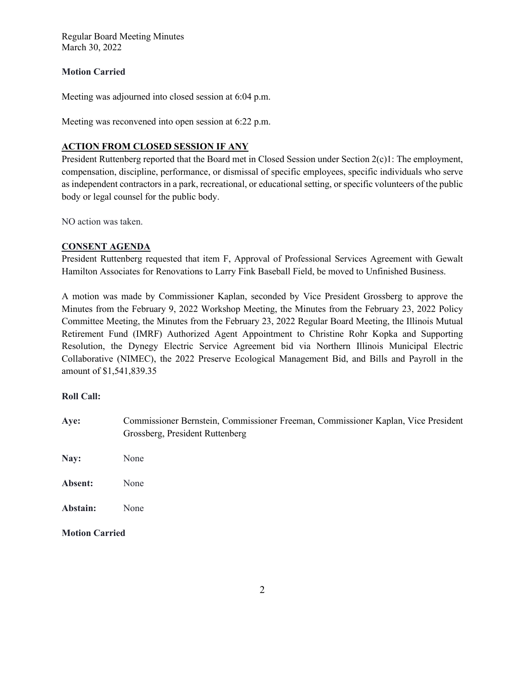# **Motion Carried**

Meeting was adjourned into closed session at 6:04 p.m.

Meeting was reconvened into open session at 6:22 p.m.

# **ACTION FROM CLOSED SESSION IF ANY**

President Ruttenberg reported that the Board met in Closed Session under Section 2(c)1: The employment, compensation, discipline, performance, or dismissal of specific employees, specific individuals who serve as independent contractors in a park, recreational, or educational setting, or specific volunteers of the public body or legal counsel for the public body.

NO action was taken.

# **CONSENT AGENDA**

President Ruttenberg requested that item F, Approval of Professional Services Agreement with Gewalt Hamilton Associates for Renovations to Larry Fink Baseball Field, be moved to Unfinished Business.

A motion was made by Commissioner Kaplan, seconded by Vice President Grossberg to approve the Minutes from the February 9, 2022 Workshop Meeting, the Minutes from the February 23, 2022 Policy Committee Meeting, the Minutes from the February 23, 2022 Regular Board Meeting, the Illinois Mutual Retirement Fund (IMRF) Authorized Agent Appointment to Christine Rohr Kopka and Supporting Resolution, the Dynegy Electric Service Agreement bid via Northern Illinois Municipal Electric Collaborative (NIMEC), the 2022 Preserve Ecological Management Bid, and Bills and Payroll in the amount of \$1,541,839.35

# **Roll Call:**

- **Aye:** Commissioner Bernstein, Commissioner Freeman, Commissioner Kaplan, Vice President Grossberg, President Ruttenberg
- **Nay:** None
- **Absent:** None
- **Abstain:** None

**Motion Carried**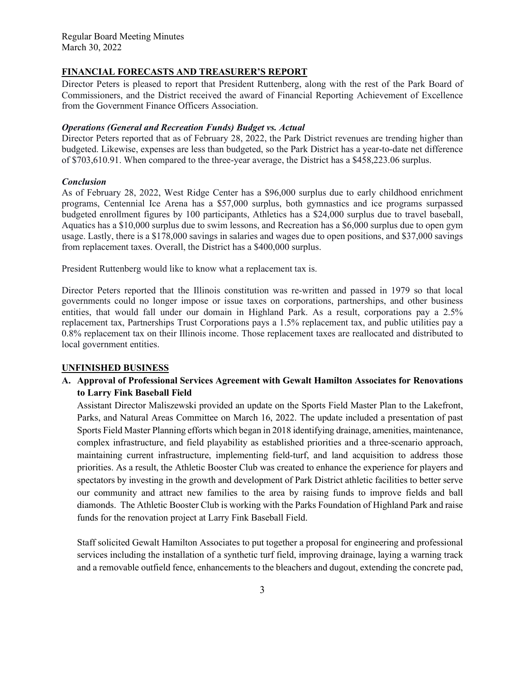#### **FINANCIAL FORECASTS AND TREASURER'S REPORT**

Director Peters is pleased to report that President Ruttenberg, along with the rest of the Park Board of Commissioners, and the District received the award of Financial Reporting Achievement of Excellence from the Government Finance Officers Association.

#### *Operations (General and Recreation Funds) Budget vs. Actual*

Director Peters reported that as of February 28, 2022, the Park District revenues are trending higher than budgeted. Likewise, expenses are less than budgeted, so the Park District has a year-to-date net difference of \$703,610.91. When compared to the three-year average, the District has a \$458,223.06 surplus.

#### *Conclusion*

As of February 28, 2022, West Ridge Center has a \$96,000 surplus due to early childhood enrichment programs, Centennial Ice Arena has a \$57,000 surplus, both gymnastics and ice programs surpassed budgeted enrollment figures by 100 participants, Athletics has a \$24,000 surplus due to travel baseball, Aquatics has a \$10,000 surplus due to swim lessons, and Recreation has a \$6,000 surplus due to open gym usage. Lastly, there is a \$178,000 savings in salaries and wages due to open positions, and \$37,000 savings from replacement taxes. Overall, the District has a \$400,000 surplus.

President Ruttenberg would like to know what a replacement tax is.

Director Peters reported that the Illinois constitution was re-written and passed in 1979 so that local governments could no longer impose or issue taxes on corporations, partnerships, and other business entities, that would fall under our domain in Highland Park. As a result, corporations pay a 2.5% replacement tax, Partnerships Trust Corporations pays a 1.5% replacement tax, and public utilities pay a 0.8% replacement tax on their Illinois income. Those replacement taxes are reallocated and distributed to local government entities.

# **UNFINISHED BUSINESS**

**A. Approval of Professional Services Agreement with Gewalt Hamilton Associates for Renovations to Larry Fink Baseball Field**

Assistant Director Maliszewski provided an update on the Sports Field Master Plan to the Lakefront, Parks, and Natural Areas Committee on March 16, 2022. The update included a presentation of past Sports Field Master Planning efforts which began in 2018 identifying drainage, amenities, maintenance, complex infrastructure, and field playability as established priorities and a three-scenario approach, maintaining current infrastructure, implementing field-turf, and land acquisition to address those priorities. As a result, the Athletic Booster Club was created to enhance the experience for players and spectators by investing in the growth and development of Park District athletic facilities to better serve our community and attract new families to the area by raising funds to improve fields and ball diamonds. The Athletic Booster Club is working with the Parks Foundation of Highland Park and raise funds for the renovation project at Larry Fink Baseball Field.

Staff solicited Gewalt Hamilton Associates to put together a proposal for engineering and professional services including the installation of a synthetic turf field, improving drainage, laying a warning track and a removable outfield fence, enhancements to the bleachers and dugout, extending the concrete pad,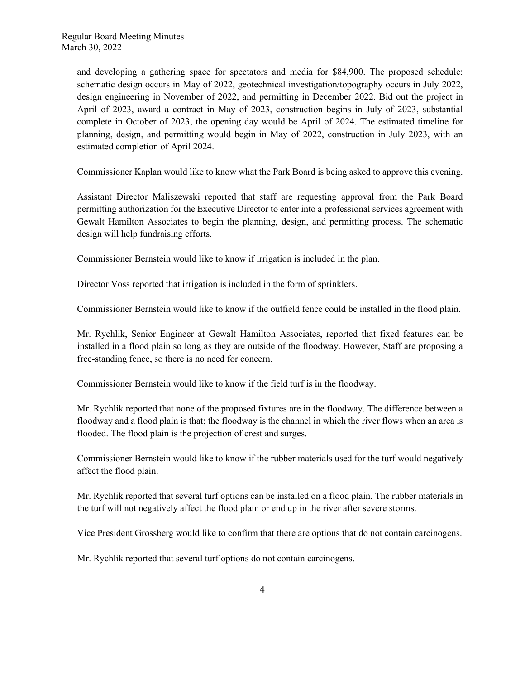and developing a gathering space for spectators and media for \$84,900. The proposed schedule: schematic design occurs in May of 2022, geotechnical investigation/topography occurs in July 2022, design engineering in November of 2022, and permitting in December 2022. Bid out the project in April of 2023, award a contract in May of 2023, construction begins in July of 2023, substantial complete in October of 2023, the opening day would be April of 2024. The estimated timeline for planning, design, and permitting would begin in May of 2022, construction in July 2023, with an estimated completion of April 2024.

Commissioner Kaplan would like to know what the Park Board is being asked to approve this evening.

Assistant Director Maliszewski reported that staff are requesting approval from the Park Board permitting authorization for the Executive Director to enter into a professional services agreement with Gewalt Hamilton Associates to begin the planning, design, and permitting process. The schematic design will help fundraising efforts.

Commissioner Bernstein would like to know if irrigation is included in the plan.

Director Voss reported that irrigation is included in the form of sprinklers.

Commissioner Bernstein would like to know if the outfield fence could be installed in the flood plain.

Mr. Rychlik, Senior Engineer at Gewalt Hamilton Associates, reported that fixed features can be installed in a flood plain so long as they are outside of the floodway. However, Staff are proposing a free-standing fence, so there is no need for concern.

Commissioner Bernstein would like to know if the field turf is in the floodway.

Mr. Rychlik reported that none of the proposed fixtures are in the floodway. The difference between a floodway and a flood plain is that; the floodway is the channel in which the river flows when an area is flooded. The flood plain is the projection of crest and surges.

Commissioner Bernstein would like to know if the rubber materials used for the turf would negatively affect the flood plain.

Mr. Rychlik reported that several turf options can be installed on a flood plain. The rubber materials in the turf will not negatively affect the flood plain or end up in the river after severe storms.

Vice President Grossberg would like to confirm that there are options that do not contain carcinogens.

Mr. Rychlik reported that several turf options do not contain carcinogens.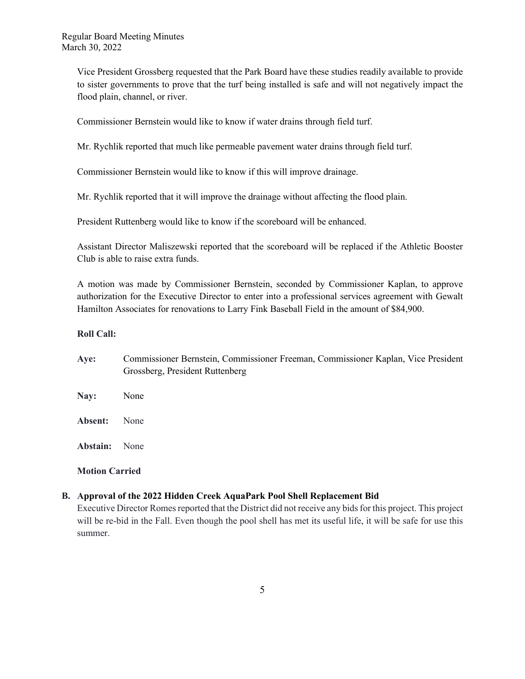Vice President Grossberg requested that the Park Board have these studies readily available to provide to sister governments to prove that the turf being installed is safe and will not negatively impact the flood plain, channel, or river.

Commissioner Bernstein would like to know if water drains through field turf.

Mr. Rychlik reported that much like permeable pavement water drains through field turf.

Commissioner Bernstein would like to know if this will improve drainage.

Mr. Rychlik reported that it will improve the drainage without affecting the flood plain.

President Ruttenberg would like to know if the scoreboard will be enhanced.

Assistant Director Maliszewski reported that the scoreboard will be replaced if the Athletic Booster Club is able to raise extra funds.

A motion was made by Commissioner Bernstein, seconded by Commissioner Kaplan, to approve authorization for the Executive Director to enter into a professional services agreement with Gewalt Hamilton Associates for renovations to Larry Fink Baseball Field in the amount of \$84,900.

# **Roll Call:**

| Aye:     | Commissioner Bernstein, Commissioner Freeman, Commissioner Kaplan, Vice President<br>Grossberg, President Ruttenberg |
|----------|----------------------------------------------------------------------------------------------------------------------|
| Nay:     | None                                                                                                                 |
| Absent:  | None                                                                                                                 |
| Abstain: | None                                                                                                                 |

# **Motion Carried**

# **B. Approval of the 2022 Hidden Creek AquaPark Pool Shell Replacement Bid**

Executive Director Romes reported that the District did not receive any bids for this project. This project will be re-bid in the Fall. Even though the pool shell has met its useful life, it will be safe for use this summer.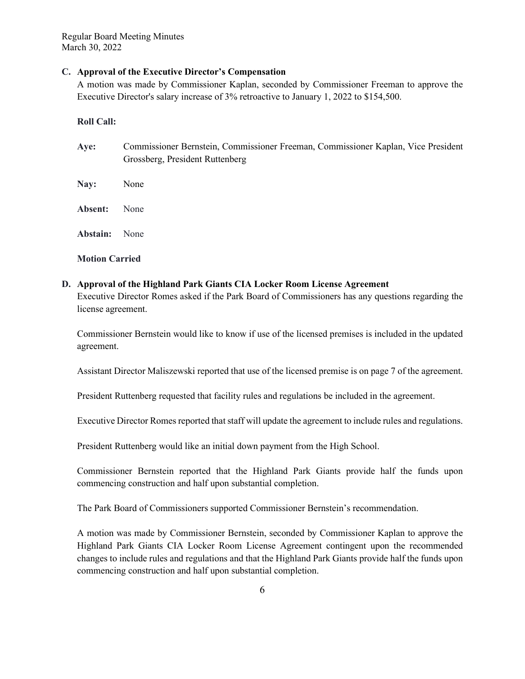#### **C. Approval of the Executive Director's Compensation**

A motion was made by Commissioner Kaplan, seconded by Commissioner Freeman to approve the Executive Director's salary increase of 3% retroactive to January 1, 2022 to \$154,500.

#### **Roll Call:**

| Aye:     | Commissioner Bernstein, Commissioner Freeman, Commissioner Kaplan, Vice President<br>Grossberg, President Ruttenberg |
|----------|----------------------------------------------------------------------------------------------------------------------|
| Nay:     | None                                                                                                                 |
| Absent:  | None                                                                                                                 |
| Abstain: | None                                                                                                                 |

**Motion Carried**

# **D. Approval of the Highland Park Giants CIA Locker Room License Agreement**

Executive Director Romes asked if the Park Board of Commissioners has any questions regarding the license agreement.

Commissioner Bernstein would like to know if use of the licensed premises is included in the updated agreement.

Assistant Director Maliszewski reported that use of the licensed premise is on page 7 of the agreement.

President Ruttenberg requested that facility rules and regulations be included in the agreement.

Executive Director Romes reported that staff will update the agreement to include rules and regulations.

President Ruttenberg would like an initial down payment from the High School.

Commissioner Bernstein reported that the Highland Park Giants provide half the funds upon commencing construction and half upon substantial completion.

The Park Board of Commissioners supported Commissioner Bernstein's recommendation.

A motion was made by Commissioner Bernstein, seconded by Commissioner Kaplan to approve the Highland Park Giants CIA Locker Room License Agreement contingent upon the recommended changes to include rules and regulations and that the Highland Park Giants provide half the funds upon commencing construction and half upon substantial completion.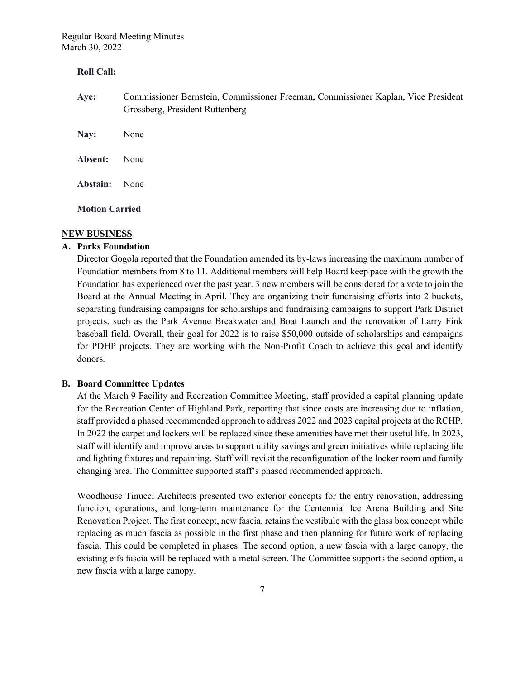### **Roll Call:**

- **Aye:** Commissioner Bernstein, Commissioner Freeman, Commissioner Kaplan, Vice President Grossberg, President Ruttenberg
- **Nay:** None **Absent:** None **Abstain:** None

**Motion Carried** 

#### **NEW BUSINESS**

# **A. Parks Foundation**

Director Gogola reported that the Foundation amended its by-laws increasing the maximum number of Foundation members from 8 to 11. Additional members will help Board keep pace with the growth the Foundation has experienced over the past year. 3 new members will be considered for a vote to join the Board at the Annual Meeting in April. They are organizing their fundraising efforts into 2 buckets, separating fundraising campaigns for scholarships and fundraising campaigns to support Park District projects, such as the Park Avenue Breakwater and Boat Launch and the renovation of Larry Fink baseball field. Overall, their goal for 2022 is to raise \$50,000 outside of scholarships and campaigns for PDHP projects. They are working with the Non-Profit Coach to achieve this goal and identify donors.

# **B. Board Committee Updates**

At the March 9 Facility and Recreation Committee Meeting, staff provided a capital planning update for the Recreation Center of Highland Park, reporting that since costs are increasing due to inflation, staff provided a phased recommended approach to address 2022 and 2023 capital projects at the RCHP. In 2022 the carpet and lockers will be replaced since these amenities have met their useful life. In 2023, staff will identify and improve areas to support utility savings and green initiatives while replacing tile and lighting fixtures and repainting. Staff will revisit the reconfiguration of the locker room and family changing area. The Committee supported staff's phased recommended approach.

Woodhouse Tinucci Architects presented two exterior concepts for the entry renovation, addressing function, operations, and long-term maintenance for the Centennial Ice Arena Building and Site Renovation Project. The first concept, new fascia, retains the vestibule with the glass box concept while replacing as much fascia as possible in the first phase and then planning for future work of replacing fascia. This could be completed in phases. The second option, a new fascia with a large canopy, the existing eifs fascia will be replaced with a metal screen. The Committee supports the second option, a new fascia with a large canopy.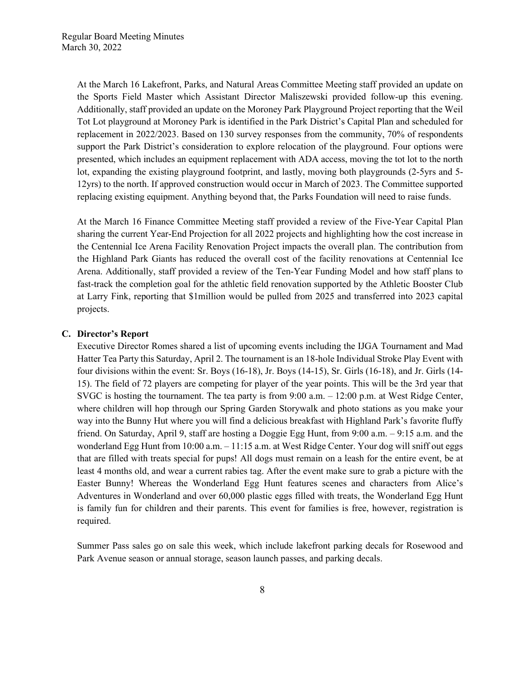At the March 16 Lakefront, Parks, and Natural Areas Committee Meeting staff provided an update on the Sports Field Master which Assistant Director Maliszewski provided follow-up this evening. Additionally, staff provided an update on the Moroney Park Playground Project reporting that the Weil Tot Lot playground at Moroney Park is identified in the Park District's Capital Plan and scheduled for replacement in 2022/2023. Based on 130 survey responses from the community, 70% of respondents support the Park District's consideration to explore relocation of the playground. Four options were presented, which includes an equipment replacement with ADA access, moving the tot lot to the north lot, expanding the existing playground footprint, and lastly, moving both playgrounds (2-5yrs and 5- 12yrs) to the north. If approved construction would occur in March of 2023. The Committee supported replacing existing equipment. Anything beyond that, the Parks Foundation will need to raise funds.

At the March 16 Finance Committee Meeting staff provided a review of the Five-Year Capital Plan sharing the current Year-End Projection for all 2022 projects and highlighting how the cost increase in the Centennial Ice Arena Facility Renovation Project impacts the overall plan. The contribution from the Highland Park Giants has reduced the overall cost of the facility renovations at Centennial Ice Arena. Additionally, staff provided a review of the Ten-Year Funding Model and how staff plans to fast-track the completion goal for the athletic field renovation supported by the Athletic Booster Club at Larry Fink, reporting that \$1million would be pulled from 2025 and transferred into 2023 capital projects.

#### **C. Director's Report**

Executive Director Romes shared a list of upcoming events including the IJGA Tournament and Mad Hatter Tea Party this Saturday, April 2. The tournament is an 18-hole Individual Stroke Play Event with four divisions within the event: Sr. Boys (16-18), Jr. Boys (14-15), Sr. Girls (16-18), and Jr. Girls (14- 15). The field of 72 players are competing for player of the year points. This will be the 3rd year that SVGC is hosting the tournament. The tea party is from 9:00 a.m. – 12:00 p.m. at West Ridge Center, where children will hop through our Spring Garden Storywalk and photo stations as you make your way into the Bunny Hut where you will find a delicious breakfast with Highland Park's favorite fluffy friend. On Saturday, April 9, staff are hosting a Doggie Egg Hunt, from 9:00 a.m. – 9:15 a.m. and the wonderland Egg Hunt from 10:00 a.m. - 11:15 a.m. at West Ridge Center. Your dog will sniff out eggs that are filled with treats special for pups! All dogs must remain on a leash for the entire event, be at least 4 months old, and wear a current rabies tag. After the event make sure to grab a picture with the Easter Bunny! Whereas the Wonderland Egg Hunt features scenes and characters from Alice's Adventures in Wonderland and over 60,000 plastic eggs filled with treats, the Wonderland Egg Hunt is family fun for children and their parents. This event for families is free, however, registration is required.

Summer Pass sales go on sale this week, which include lakefront parking decals for Rosewood and Park Avenue season or annual storage, season launch passes, and parking decals.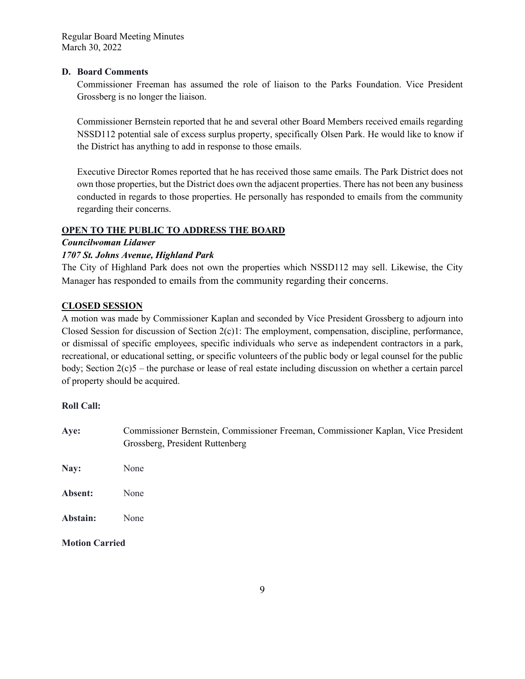# **D. Board Comments**

Commissioner Freeman has assumed the role of liaison to the Parks Foundation. Vice President Grossberg is no longer the liaison.

Commissioner Bernstein reported that he and several other Board Members received emails regarding NSSD112 potential sale of excess surplus property, specifically Olsen Park. He would like to know if the District has anything to add in response to those emails.

Executive Director Romes reported that he has received those same emails. The Park District does not own those properties, but the District does own the adjacent properties. There has not been any business conducted in regards to those properties. He personally has responded to emails from the community regarding their concerns.

# **OPEN TO THE PUBLIC TO ADDRESS THE BOARD**

*Councilwoman Lidawer* 

# *1707 St. Johns Avenue, Highland Park*

The City of Highland Park does not own the properties which NSSD112 may sell. Likewise, the City Manager has responded to emails from the community regarding their concerns.

# **CLOSED SESSION**

A motion was made by Commissioner Kaplan and seconded by Vice President Grossberg to adjourn into Closed Session for discussion of Section 2(c)1: The employment, compensation, discipline, performance, or dismissal of specific employees, specific individuals who serve as independent contractors in a park, recreational, or educational setting, or specific volunteers of the public body or legal counsel for the public body; Section 2(c)5 – the purchase or lease of real estate including discussion on whether a certain parcel of property should be acquired.

# **Roll Call:**

**Aye:** Commissioner Bernstein, Commissioner Freeman, Commissioner Kaplan, Vice President Grossberg, President Ruttenberg **Nay:** None **Absent:** None **Abstain:** None

**Motion Carried**